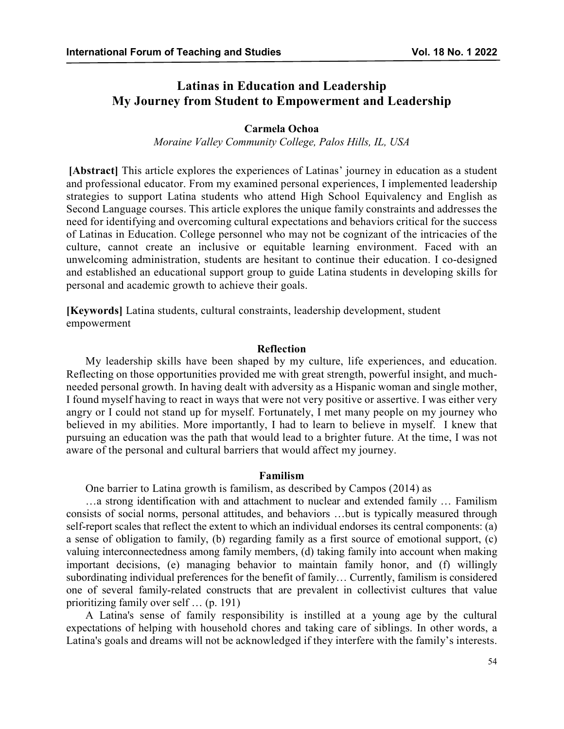# **Latinas in Education and Leadership My Journey from Student to Empowerment and Leadership**

## **Carmela Ochoa**

*Moraine Valley Community College, Palos Hills, IL, USA*

**[Abstract]** This article explores the experiences of Latinas' journey in education as a student and professional educator. From my examined personal experiences, I implemented leadership strategies to support Latina students who attend High School Equivalency and English as Second Language courses. This article explores the unique family constraints and addresses the need for identifying and overcoming cultural expectations and behaviors critical for the success of Latinas in Education. College personnel who may not be cognizant of the intricacies of the culture, cannot create an inclusive or equitable learning environment. Faced with an unwelcoming administration, students are hesitant to continue their education. I co-designed and established an educational support group to guide Latina students in developing skills for personal and academic growth to achieve their goals.

**[Keywords]** Latina students, cultural constraints, leadership development, student empowerment

# **Reflection**

My leadership skills have been shaped by my culture, life experiences, and education. Reflecting on those opportunities provided me with great strength, powerful insight, and muchneeded personal growth. In having dealt with adversity as a Hispanic woman and single mother, I found myself having to react in ways that were not very positive or assertive. I was either very angry or I could not stand up for myself. Fortunately, I met many people on my journey who believed in my abilities. More importantly, I had to learn to believe in myself. I knew that pursuing an education was the path that would lead to a brighter future. At the time, I was not aware of the personal and cultural barriers that would affect my journey.

## **Familism**

One barrier to Latina growth is familism, as described by Campos (2014) as

…a strong identification with and attachment to nuclear and extended family … Familism consists of social norms, personal attitudes, and behaviors …but is typically measured through self-report scales that reflect the extent to which an individual endorses its central components: (a) a sense of obligation to family, (b) regarding family as a first source of emotional support, (c) valuing interconnectedness among family members, (d) taking family into account when making important decisions, (e) managing behavior to maintain family honor, and (f) willingly subordinating individual preferences for the benefit of family… Currently, familism is considered one of several family-related constructs that are prevalent in collectivist cultures that value prioritizing family over self … (p. 191)

A Latina's sense of family responsibility is instilled at a young age by the cultural expectations of helping with household chores and taking care of siblings. In other words, a Latina's goals and dreams will not be acknowledged if they interfere with the family's interests.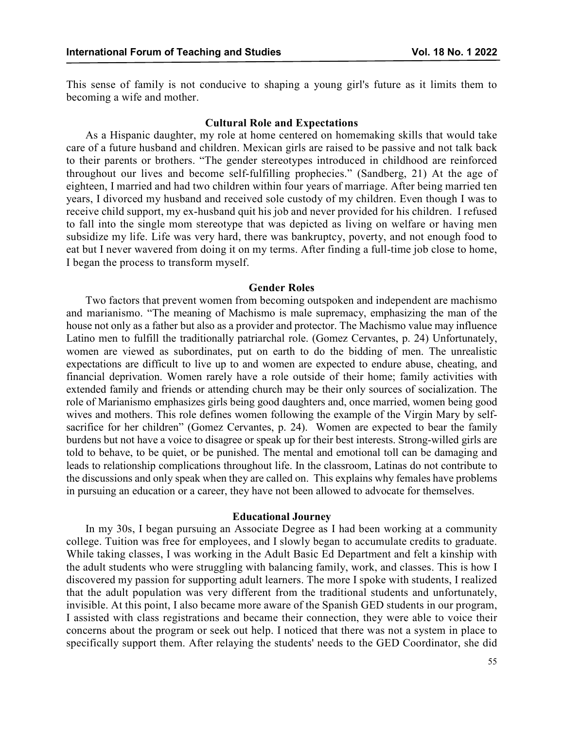This sense of family is not conducive to shaping a young girl's future as it limits them to becoming a wife and mother.

#### **Cultural Role and Expectations**

As a Hispanic daughter, my role at home centered on homemaking skills that would take care of a future husband and children. Mexican girls are raised to be passive and not talk back to their parents or brothers. "The gender stereotypes introduced in childhood are reinforced throughout our lives and become self-fulfilling prophecies." (Sandberg, 21) At the age of eighteen, I married and had two children within four years of marriage. After being married ten years, I divorced my husband and received sole custody of my children. Even though I was to receive child support, my ex-husband quit his job and never provided for his children. I refused to fall into the single mom stereotype that was depicted as living on welfare or having men subsidize my life. Life was very hard, there was bankruptcy, poverty, and not enough food to eat but I never wavered from doing it on my terms. After finding a full-time job close to home, I began the process to transform myself.

## **Gender Roles**

Two factors that prevent women from becoming outspoken and independent are machismo and marianismo. "The meaning of Machismo is male supremacy, emphasizing the man of the house not only as a father but also as a provider and protector. The Machismo value may influence Latino men to fulfill the traditionally patriarchal role. (Gomez Cervantes, p. 24) Unfortunately, women are viewed as subordinates, put on earth to do the bidding of men. The unrealistic expectations are difficult to live up to and women are expected to endure abuse, cheating, and financial deprivation. Women rarely have a role outside of their home; family activities with extended family and friends or attending church may be their only sources of socialization. The role of Marianismo emphasizes girls being good daughters and, once married, women being good wives and mothers. This role defines women following the example of the Virgin Mary by selfsacrifice for her children" (Gomez Cervantes, p. 24). Women are expected to bear the family burdens but not have a voice to disagree or speak up for their best interests. Strong-willed girls are told to behave, to be quiet, or be punished. The mental and emotional toll can be damaging and leads to relationship complications throughout life. In the classroom, Latinas do not contribute to the discussions and only speak when they are called on. This explains why females have problems in pursuing an education or a career, they have not been allowed to advocate for themselves.

## **Educational Journey**

In my 30s, I began pursuing an Associate Degree as I had been working at a community college. Tuition was free for employees, and I slowly began to accumulate credits to graduate. While taking classes, I was working in the Adult Basic Ed Department and felt a kinship with the adult students who were struggling with balancing family, work, and classes. This is how I discovered my passion for supporting adult learners. The more I spoke with students, I realized that the adult population was very different from the traditional students and unfortunately, invisible. At this point, I also became more aware of the Spanish GED students in our program, I assisted with class registrations and became their connection, they were able to voice their concerns about the program or seek out help. I noticed that there was not a system in place to specifically support them. After relaying the students' needs to the GED Coordinator, she did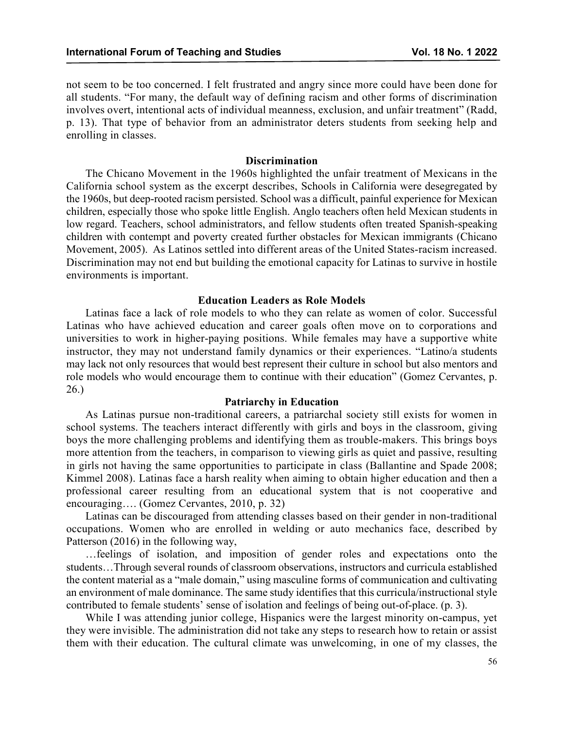not seem to be too concerned. I felt frustrated and angry since more could have been done for all students. "For many, the default way of defining racism and other forms of discrimination involves overt, intentional acts of individual meanness, exclusion, and unfair treatment" (Radd, p. 13). That type of behavior from an administrator deters students from seeking help and enrolling in classes.

#### **Discrimination**

The Chicano Movement in the 1960s highlighted the unfair treatment of Mexicans in the California school system as the excerpt describes, Schools in California were desegregated by the 1960s, but deep-rooted racism persisted. School was a difficult, painful experience for Mexican children, especially those who spoke little English. Anglo teachers often held Mexican students in low regard. Teachers, school administrators, and fellow students often treated Spanish-speaking children with contempt and poverty created further obstacles for Mexican immigrants (Chicano Movement, 2005). As Latinos settled into different areas of the United States-racism increased. Discrimination may not end but building the emotional capacity for Latinas to survive in hostile environments is important.

## **Education Leaders as Role Models**

Latinas face a lack of role models to who they can relate as women of color. Successful Latinas who have achieved education and career goals often move on to corporations and universities to work in higher-paying positions. While females may have a supportive white instructor, they may not understand family dynamics or their experiences. "Latino/a students may lack not only resources that would best represent their culture in school but also mentors and role models who would encourage them to continue with their education" (Gomez Cervantes, p. 26.)

## **Patriarchy in Education**

As Latinas pursue non-traditional careers, a patriarchal society still exists for women in school systems. The teachers interact differently with girls and boys in the classroom, giving boys the more challenging problems and identifying them as trouble-makers. This brings boys more attention from the teachers, in comparison to viewing girls as quiet and passive, resulting in girls not having the same opportunities to participate in class (Ballantine and Spade 2008; Kimmel 2008). Latinas face a harsh reality when aiming to obtain higher education and then a professional career resulting from an educational system that is not cooperative and encouraging…. (Gomez Cervantes, 2010, p. 32)

Latinas can be discouraged from attending classes based on their gender in non-traditional occupations. Women who are enrolled in welding or auto mechanics face, described by Patterson (2016) in the following way,

…feelings of isolation, and imposition of gender roles and expectations onto the students…Through several rounds of classroom observations, instructors and curricula established the content material as a "male domain," using masculine forms of communication and cultivating an environment of male dominance. The same study identifies that this curricula/instructional style contributed to female students' sense of isolation and feelings of being out-of-place. (p. 3).

While I was attending junior college, Hispanics were the largest minority on-campus, yet they were invisible. The administration did not take any steps to research how to retain or assist them with their education. The cultural climate was unwelcoming, in one of my classes, the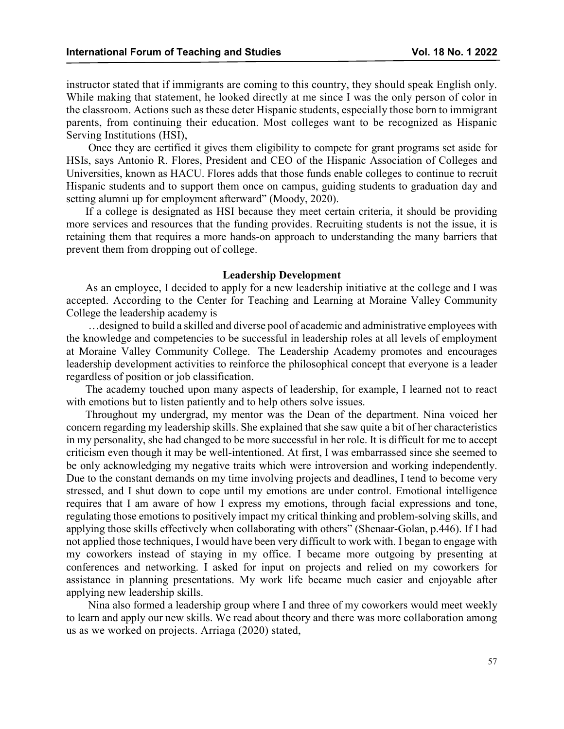instructor stated that if immigrants are coming to this country, they should speak English only. While making that statement, he looked directly at me since I was the only person of color in the classroom. Actions such as these deter Hispanic students, especially those born to immigrant parents, from continuing their education. Most colleges want to be recognized as Hispanic Serving Institutions (HSI),

Once they are certified it gives them eligibility to compete for grant programs set aside for HSIs, says Antonio R. Flores, President and CEO of the Hispanic Association of Colleges and Universities, known as HACU. Flores adds that those funds enable colleges to continue to recruit Hispanic students and to support them once on campus, guiding students to graduation day and setting alumni up for employment afterward" (Moody, 2020).

If a college is designated as HSI because they meet certain criteria, it should be providing more services and resources that the funding provides. Recruiting students is not the issue, it is retaining them that requires a more hands-on approach to understanding the many barriers that prevent them from dropping out of college.

## **Leadership Development**

As an employee, I decided to apply for a new leadership initiative at the college and I was accepted. According to the Center for Teaching and Learning at Moraine Valley Community College the leadership academy is

…designed to build a skilled and diverse pool of academic and administrative employees with the knowledge and competencies to be successful in leadership roles at all levels of employment at Moraine Valley Community College. The Leadership Academy promotes and encourages leadership development activities to reinforce the philosophical concept that everyone is a leader regardless of position or job classification.

The academy touched upon many aspects of leadership, for example, I learned not to react with emotions but to listen patiently and to help others solve issues.

Throughout my undergrad, my mentor was the Dean of the department. Nina voiced her concern regarding my leadership skills. She explained that she saw quite a bit of her characteristics in my personality, she had changed to be more successful in her role. It is difficult for me to accept criticism even though it may be well-intentioned. At first, I was embarrassed since she seemed to be only acknowledging my negative traits which were introversion and working independently. Due to the constant demands on my time involving projects and deadlines, I tend to become very stressed, and I shut down to cope until my emotions are under control. Emotional intelligence requires that I am aware of how I express my emotions, through facial expressions and tone, regulating those emotions to positively impact my critical thinking and problem-solving skills, and applying those skills effectively when collaborating with others" (Shenaar-Golan, p.446). If I had not applied those techniques, I would have been very difficult to work with. I began to engage with my coworkers instead of staying in my office. I became more outgoing by presenting at conferences and networking. I asked for input on projects and relied on my coworkers for assistance in planning presentations. My work life became much easier and enjoyable after applying new leadership skills.

Nina also formed a leadership group where I and three of my coworkers would meet weekly to learn and apply our new skills. We read about theory and there was more collaboration among us as we worked on projects. Arriaga (2020) stated,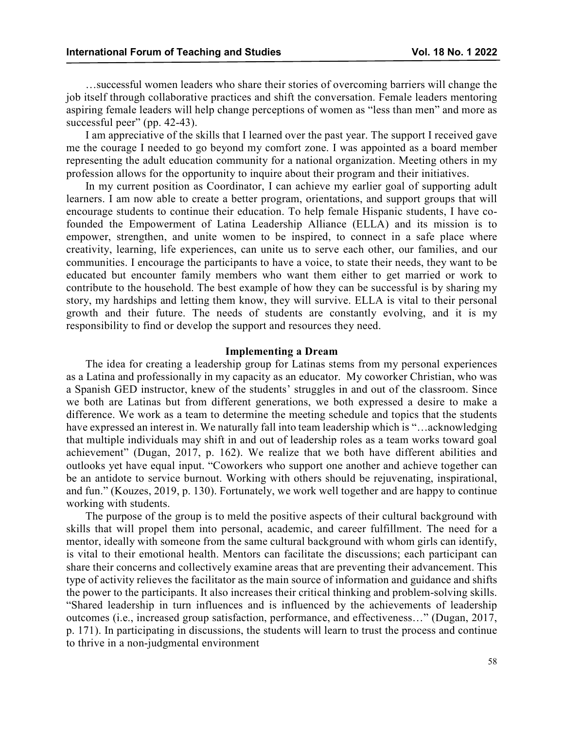…successful women leaders who share their stories of overcoming barriers will change the job itself through collaborative practices and shift the conversation. Female leaders mentoring aspiring female leaders will help change perceptions of women as "less than men" and more as successful peer" (pp. 42-43).

I am appreciative of the skills that I learned over the past year. The support I received gave me the courage I needed to go beyond my comfort zone. I was appointed as a board member representing the adult education community for a national organization. Meeting others in my profession allows for the opportunity to inquire about their program and their initiatives.

In my current position as Coordinator, I can achieve my earlier goal of supporting adult learners. I am now able to create a better program, orientations, and support groups that will encourage students to continue their education. To help female Hispanic students, I have cofounded the Empowerment of Latina Leadership Alliance (ELLA) and its mission is to empower, strengthen, and unite women to be inspired, to connect in a safe place where creativity, learning, life experiences, can unite us to serve each other, our families, and our communities. I encourage the participants to have a voice, to state their needs, they want to be educated but encounter family members who want them either to get married or work to contribute to the household. The best example of how they can be successful is by sharing my story, my hardships and letting them know, they will survive. ELLA is vital to their personal growth and their future. The needs of students are constantly evolving, and it is my responsibility to find or develop the support and resources they need.

#### **Implementing a Dream**

The idea for creating a leadership group for Latinas stems from my personal experiences as a Latina and professionally in my capacity as an educator. My coworker Christian, who was a Spanish GED instructor, knew of the students' struggles in and out of the classroom. Since we both are Latinas but from different generations, we both expressed a desire to make a difference. We work as a team to determine the meeting schedule and topics that the students have expressed an interest in. We naturally fall into team leadership which is "…acknowledging that multiple individuals may shift in and out of leadership roles as a team works toward goal achievement" (Dugan, 2017, p. 162). We realize that we both have different abilities and outlooks yet have equal input. "Coworkers who support one another and achieve together can be an antidote to service burnout. Working with others should be rejuvenating, inspirational, and fun." (Kouzes, 2019, p. 130). Fortunately, we work well together and are happy to continue working with students.

The purpose of the group is to meld the positive aspects of their cultural background with skills that will propel them into personal, academic, and career fulfillment. The need for a mentor, ideally with someone from the same cultural background with whom girls can identify, is vital to their emotional health. Mentors can facilitate the discussions; each participant can share their concerns and collectively examine areas that are preventing their advancement. This type of activity relieves the facilitator as the main source of information and guidance and shifts the power to the participants. It also increases their critical thinking and problem-solving skills. "Shared leadership in turn influences and is influenced by the achievements of leadership outcomes (i.e., increased group satisfaction, performance, and effectiveness…" (Dugan, 2017, p. 171). In participating in discussions, the students will learn to trust the process and continue to thrive in a non-judgmental environment